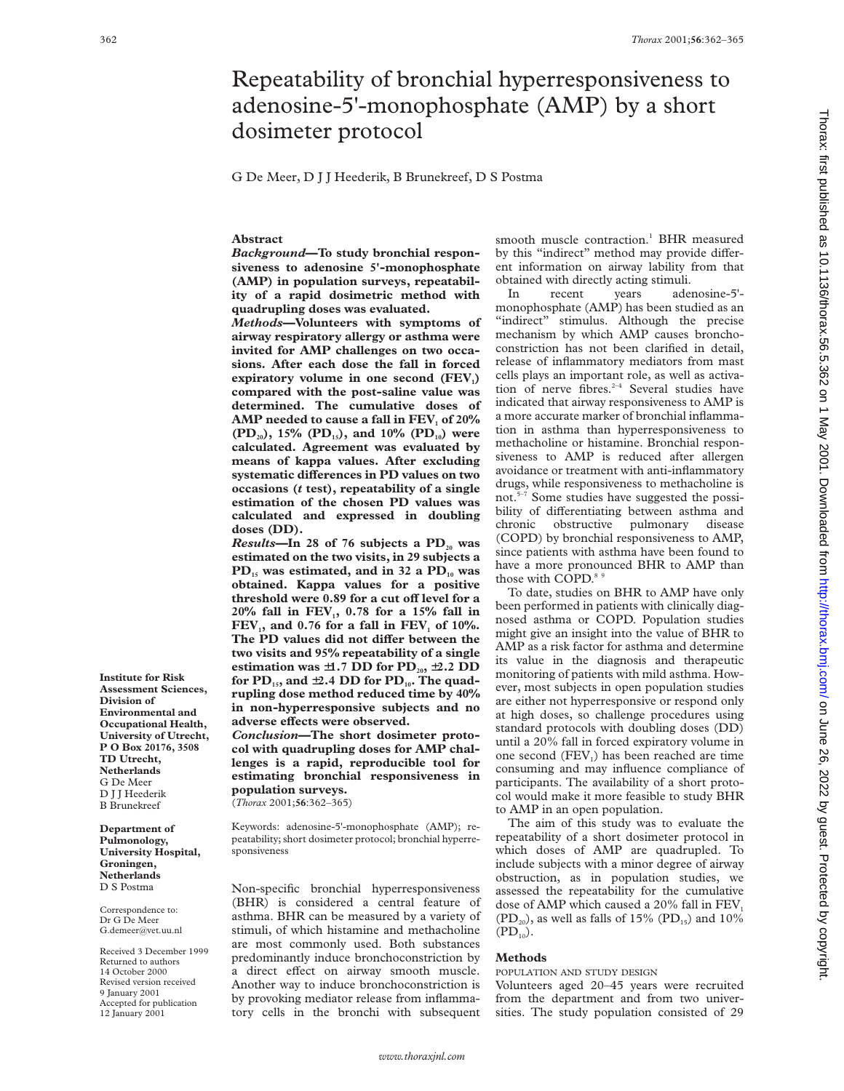# Repeatability of bronchial hyperresponsiveness to adenosine-5'-monophosphate (AMP) by a short dosimeter protocol

G De Meer, D J J Heederik, B Brunekreef, D S Postma

**Abstract**

*Background***—To study bronchial responsiveness to adenosine 5'-monophosphate (AMP) in population surveys, repeatability of a rapid dosimetric method with quadrupling doses was evaluated.**

*Methods***—Volunteers with symptoms of airway respiratory allergy or asthma were invited for AMP challenges on two occasions. After each dose the fall in forced** expiratory volume in one second (FEV<sub>1</sub>) **compared with the post-saline value was determined. The cumulative doses of** AMP needed to cause a fall in FEV<sub>1</sub> of 20% (PD<sub>20</sub>), 15% (PD<sub>15</sub>), and 10% (PD<sub>10</sub>) were **calculated. Agreement was evaluated by means of kappa values. After excluding** systematic differences in PD values on two **occasions (***t* **test), repeatability of a single estimation of the chosen PD values was calculated and expressed in doubling doses (DD).**

*Results*—In 28 of 76 subjects a PD<sub>20</sub> was **estimated on the two visits, in 29 subjects a PD15 was estimated, and in 32 a PD10 was obtained. Kappa values for a positive** threshold were 0.89 for a cut off level for a 20% fall in FEV<sub>1</sub>, 0.78 for a 15% fall in  $FEV<sub>1</sub>$ , and 0.76 for a fall in FEV<sub>, of 10%</sub>. The PD values did not differ between the **two visits and 95% repeatability of a single** estimation was  $\pm 1.7$  DD for  $PD_{20}$ ,  $\pm 2.2$  DD for PD<sub>15</sub>, and  $\pm 2.4$  DD for PD<sub>10</sub>. The quad**rupling dose method reduced time by 40% in non-hyperresponsive subjects and no adverse eVects were observed.**

*Conclusion***—The short dosimeter protocol with quadrupling doses for AMP challenges is a rapid, reproducible tool for estimating bronchial responsiveness in population surveys.** (*Thorax* 2001;**56**:362–365)

Keywords: adenosine-5'-monophosphate (AMP); repeatability; short dosimeter protocol; bronchial hyperresponsiveness

Non-specific bronchial hyperresponsiveness (BHR) is considered a central feature of asthma. BHR can be measured by a variety of stimuli, of which histamine and methacholine are most commonly used. Both substances predominantly induce bronchoconstriction by a direct effect on airway smooth muscle. Another way to induce bronchoconstriction is by provoking mediator release from inflammatory cells in the bronchi with subsequent smooth muscle contraction.<sup>1</sup> BHR measured by this "indirect" method may provide different information on airway lability from that obtained with directly acting stimuli.

In recent years adenosine-5' monophosphate (AMP) has been studied as an "indirect" stimulus. Although the precise mechanism by which AMP causes bronchoconstriction has not been clarified in detail, release of inflammatory mediators from mast cells plays an important role, as well as activation of nerve fibres. $2-4$  Several studies have indicated that airway responsiveness to AMP is a more accurate marker of bronchial inflammation in asthma than hyperresponsiveness to methacholine or histamine. Bronchial responsiveness to AMP is reduced after allergen avoidance or treatment with anti-inflammatory drugs, while responsiveness to methacholine is not.5–7 Some studies have suggested the possibility of differentiating between asthma and chronic obstructive pulmonary disease (COPD) by bronchial responsiveness to AMP, since patients with asthma have been found to have a more pronounced BHR to AMP than those with COPD.<sup>8</sup>

To date, studies on BHR to AMP have only been performed in patients with clinically diagnosed asthma or COPD. Population studies might give an insight into the value of BHR to AMP as a risk factor for asthma and determine its value in the diagnosis and therapeutic monitoring of patients with mild asthma. However, most subjects in open population studies are either not hyperresponsive or respond only at high doses, so challenge procedures using standard protocols with doubling doses (DD) until a 20% fall in forced expiratory volume in one second  $(FEV<sub>1</sub>)$  has been reached are time consuming and may influence compliance of participants. The availability of a short protocol would make it more feasible to study BHR to AMP in an open population.

The aim of this study was to evaluate the repeatability of a short dosimeter protocol in which doses of AMP are quadrupled. To include subjects with a minor degree of airway obstruction, as in population studies, we assessed the repeatability for the cumulative dose of AMP which caused a  $20\%$  fall in  $FEV<sub>1</sub>$  $(PD_{20})$ , as well as falls of 15%  $(PD_{15})$  and 10%  $(PD_{10})$ .

## **Methods**

POPULATION AND STUDY DESIGN

Volunteers aged 20–45 years were recruited from the department and from two universities. The study population consisted of 29

**Division of Environmental and Occupational Health, University of Utrecht, P O Box 20176, 3508 TD Utrecht, Netherlands** G De Meer D J J Heederik B Brunekreef

**Institute for Risk Assessment Sciences,**

**Department of Pulmonology, University Hospital, Groningen, Netherlands** D S Postma

Correspondence to: Dr G De Meer G.demeer@vet.uu.nl

Received 3 December 1999 Returned to authors 14 October 2000 Revised version received 9 January 2001 Accepted for publication 12 January 2001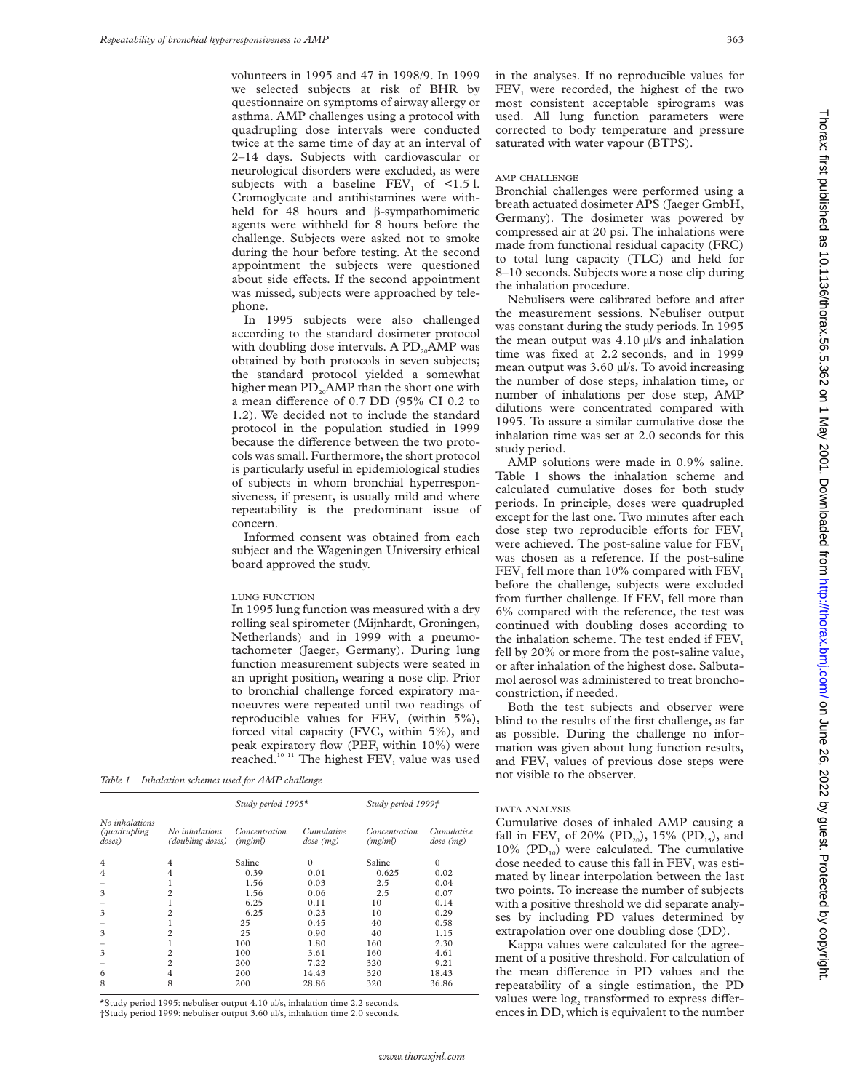volunteers in 1995 and 47 in 1998/9. In 1999 we selected subjects at risk of BHR by questionnaire on symptoms of airway allergy or asthma. AMP challenges using a protocol with quadrupling dose intervals were conducted twice at the same time of day at an interval of 2–14 days. Subjects with cardiovascular or neurological disorders were excluded, as were subjects with a baseline FEV<sub>1</sub> of  $\leq$ 1.5 l. Cromoglycate and antihistamines were withheld for 48 hours and  $\beta$ -sympathomimetic agents were withheld for 8 hours before the challenge. Subjects were asked not to smoke during the hour before testing. At the second appointment the subjects were questioned about side effects. If the second appointment was missed, subjects were approached by telephone.

In 1995 subjects were also challenged according to the standard dosimeter protocol with doubling dose intervals. A  $PD_{20}AMP$  was obtained by both protocols in seven subjects; the standard protocol yielded a somewhat higher mean  $PD_{20}$ AMP than the short one with a mean difference of 0.7 DD (95% CI 0.2 to 1.2). We decided not to include the standard protocol in the population studied in 1999 because the difference between the two protocols was small. Furthermore, the short protocol is particularly useful in epidemiological studies of subjects in whom bronchial hyperresponsiveness, if present, is usually mild and where repeatability is the predominant issue of concern.

Informed consent was obtained from each subject and the Wageningen University ethical board approved the study.

### LUNG FUNCTION

In 1995 lung function was measured with a dry rolling seal spirometer (Mijnhardt, Groningen, Netherlands) and in 1999 with a pneumotachometer (Jaeger, Germany). During lung function measurement subjects were seated in an upright position, wearing a nose clip. Prior to bronchial challenge forced expiratory manoeuvres were repeated until two readings of reproducible values for  $FEV<sub>1</sub>$  (within 5%), forced vital capacity (FVC, within 5%), and peak expiratory flow (PEF, within 10%) were reached.<sup>10 11</sup> The highest FEV<sub>1</sub> value was used

*Table 1 Inhalation schemes used for AMP challenge*

|                                                   | No inhalations<br>(doubling doses) | Study period 1995*       |                         | Study period 1999†       |                         |
|---------------------------------------------------|------------------------------------|--------------------------|-------------------------|--------------------------|-------------------------|
| No inhalations<br><i>(quadrupling</i> )<br>doses) |                                    | Concentration<br>(mg/ml) | Cumulative<br>dose (mg) | Concentration<br>(mg/ml) | Cumulative<br>dose (mg) |
| 4                                                 | 4                                  | Saline                   | $\Omega$                | Saline                   | $\Omega$                |
| 4                                                 | 4                                  | 0.39                     | 0.01                    | 0.625                    | 0.02                    |
|                                                   |                                    | 1.56                     | 0.03                    | 2.5                      | 0.04                    |
| 3                                                 | 2                                  | 1.56                     | 0.06                    | 2.5                      | 0.07                    |
|                                                   |                                    | 6.25                     | 0.11                    | 10                       | 0.14                    |
| 3                                                 | 2                                  | 6.25                     | 0.23                    | 10                       | 0.29                    |
|                                                   |                                    | 25                       | 0.45                    | 40                       | 0.58                    |
| 3                                                 | 2                                  | 25                       | 0.90                    | 40                       | 1.15                    |
|                                                   |                                    | 100                      | 1.80                    | 160                      | 2.30                    |
| 3                                                 | 2                                  | 100                      | 3.61                    | 160                      | 4.61                    |
|                                                   | 2                                  | 200                      | 7.22                    | 320                      | 9.21                    |
| 6                                                 | 4                                  | 200                      | 14.43                   | 320                      | 18.43                   |
| 8                                                 | 8                                  | 200                      | 28.86                   | 320                      | 36.86                   |

\*Study period 1995: nebuliser output 4.10 µl/s, inhalation time 2.2 seconds. †Study period 1999: nebuliser output 3.60 µl/s, inhalation time 2.0 seconds. in the analyses. If no reproducible values for FEV<sub>1</sub> were recorded, the highest of the two most consistent acceptable spirograms was used. All lung function parameters were corrected to body temperature and pressure saturated with water vapour (BTPS).

#### AMP CHALLENGE

Bronchial challenges were performed using a breath actuated dosimeter APS (Jaeger GmbH, Germany). The dosimeter was powered by compressed air at 20 psi. The inhalations were made from functional residual capacity (FRC) to total lung capacity (TLC) and held for 8–10 seconds. Subjects wore a nose clip during the inhalation procedure.

Nebulisers were calibrated before and after the measurement sessions. Nebuliser output was constant during the study periods. In 1995 the mean output was  $4.10 \mu$ /s and inhalation time was fixed at 2.2 seconds, and in 1999 mean output was 3.60 µl/s. To avoid increasing the number of dose steps, inhalation time, or number of inhalations per dose step, AMP dilutions were concentrated compared with 1995. To assure a similar cumulative dose the inhalation time was set at 2.0 seconds for this study period.

AMP solutions were made in 0.9% saline. Table 1 shows the inhalation scheme and calculated cumulative doses for both study periods. In principle, doses were quadrupled except for the last one. Two minutes after each dose step two reproducible efforts for  $FEV<sub>1</sub>$ were achieved. The post-saline value for FEV<sub>1</sub> was chosen as a reference. If the post-saline FEV<sub>1</sub> fell more than  $10\%$  compared with FEV<sub>1</sub> before the challenge, subjects were excluded from further challenge. If  $FEV<sub>1</sub>$  fell more than 6% compared with the reference, the test was continued with doubling doses according to the inhalation scheme. The test ended if FEV. fell by 20% or more from the post-saline value, or after inhalation of the highest dose. Salbutamol aerosol was administered to treat bronchoconstriction, if needed.

Both the test subjects and observer were blind to the results of the first challenge, as far as possible. During the challenge no information was given about lung function results, and  $FEV<sub>1</sub>$  values of previous dose steps were not visible to the observer.

## DATA ANALYSIS

Cumulative doses of inhaled AMP causing a fall in FEV<sub>1</sub> of 20% (PD<sub>20</sub>), 15% (PD<sub>15</sub>), and 10% ( $PD_{10}$ ) were calculated. The cumulative dose needed to cause this fall in  $FEV<sub>1</sub>$  was estimated by linear interpolation between the last two points. To increase the number of subjects with a positive threshold we did separate analyses by including PD values determined by extrapolation over one doubling dose (DD).

Kappa values were calculated for the agreement of a positive threshold. For calculation of the mean difference in PD values and the repeatability of a single estimation, the PD values were log<sub>2</sub> transformed to express differences in DD, which is equivalent to the number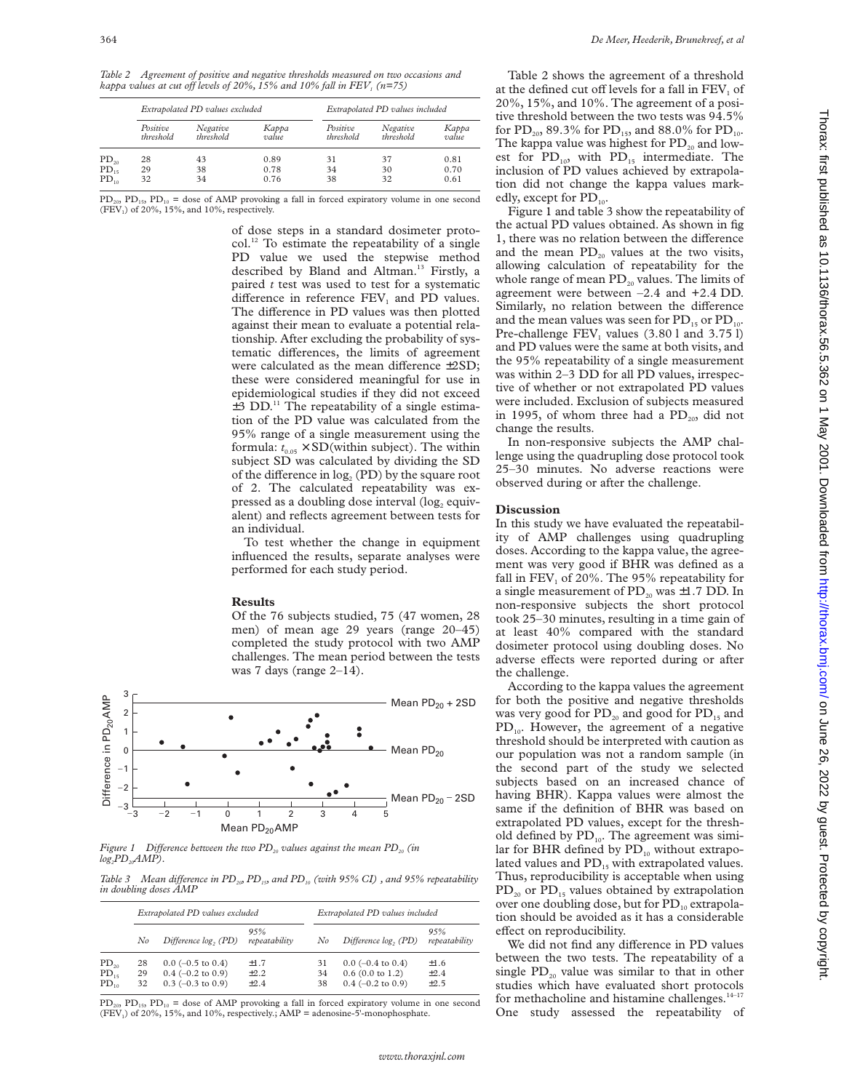*Table 2 Agreement of positive and negative thresholds measured on two occasions and kappa values at cut off levels of 20%, 15% and 10% fall in*  $FEV<sub>1</sub>$  *(n=75)* 

|           | Extrapolated PD values excluded |                       |                | Extrapolated PD values included |                       |                |
|-----------|---------------------------------|-----------------------|----------------|---------------------------------|-----------------------|----------------|
|           | Positive<br>threshold           | Negative<br>threshold | Карра<br>value | Positive<br>threshold           | Negative<br>threshold | Карра<br>value |
| $PD_{20}$ | 28                              | 43                    | 0.89           | 31                              | 37                    | 0.81           |
| $PD_{15}$ | 29                              | 38                    | 0.78           | 34                              | 30                    | 0.70           |
| $PD_{10}$ | 32                              | 34                    | 0.76           | 38                              | 32                    | 0.61           |

 $PD_{20}$ ,  $PD_{15}$ ,  $PD_{10}$  = dose of AMP provoking a fall in forced expiratory volume in one second  $(FEV<sub>1</sub>)$  of 20%, 15%, and 10%, respectively.

> of dose steps in a standard dosimeter proto $col.<sup>12</sup>$  To estimate the repeatability of a single PD value we used the stepwise method described by Bland and Altman.<sup>13</sup> Firstly, a paired *t* test was used to test for a systematic difference in reference  $FEV<sub>1</sub>$  and PD values. The difference in PD values was then plotted against their mean to evaluate a potential relationship. After excluding the probability of systematic differences, the limits of agreement were calculated as the mean difference  $\pm 2SD$ ; these were considered meaningful for use in epidemiological studies if they did not exceed  $\pm$ 3 DD.<sup>11</sup> The repeatability of a single estimation of the PD value was calculated from the 95% range of a single measurement using the formula:  $t_{0.05} \times SD$  (within subject). The within subject SD was calculated by dividing the SD of the difference in  $log<sub>2</sub>$  (PD) by the square root of 2. The calculated repeatability was expressed as a doubling dose interval  $(\log_2$  equivalent) and reflects agreement between tests for an individual.

> To test whether the change in equipment influenced the results, separate analyses were performed for each study period.

#### **Results**

Of the 76 subjects studied, 75 (47 women, 28 men) of mean age 29 years (range 20–45) completed the study protocol with two AMP challenges. The mean period between the tests was 7 days (range  $2-14$ ).



*Figure 1* Difference between the two  $PD_{20}$  values against the mean  $PD_{20}$  (in  $log_{2}PD_{20}AMP).$ 

*Table 3 Mean difference in PD<sub>20</sub>, PD<sub>15</sub>, and PD<sub>10</sub> (with 95% CI), and 95% repeatability in doubling doses AMP*

|                                     | Extrapolated PD values excluded |                                                                   |                               |                | Extrapolated PD values included                                  |                                     |  |
|-------------------------------------|---------------------------------|-------------------------------------------------------------------|-------------------------------|----------------|------------------------------------------------------------------|-------------------------------------|--|
|                                     | No                              | Difference log, (PD)                                              | 95%<br>repeatability          | No             | Difference log, (PD)                                             | 95%<br>repeatability                |  |
| $PD_{20}$<br>$PD_{15}$<br>$PD_{10}$ | 28<br>29<br>32                  | $0.0$ (-0.5 to 0.4)<br>$0.4$ (-0.2 to 0.9)<br>$0.3$ (-0.3 to 0.9) | $+1.7$<br>$\pm 2.2$<br>$+2.4$ | 31<br>34<br>38 | $0.0$ (-0.4 to 0.4)<br>$0.6$ (0.0 to 1.2)<br>$0.4$ (-0.2 to 0.9) | $\pm 1.6$<br>$\pm 2.4$<br>$\pm 2.5$ |  |

 $PD_{20}$ ,  $PD_{15}$ ,  $PD_{10}$  = dose of AMP provoking a fall in forced expiratory volume in one second  $(FEV<sub>1</sub>)$  of 20%, 15%, and 10%, respectively.; AMP = adenosine-5'-monophosphate.

Table 2 shows the agreement of a threshold at the defined cut off levels for a fall in  $FEV<sub>1</sub>$  of 20%, 15%, and 10%. The agreement of a positive threshold between the two tests was 94.5% for  $PD_{20}$ , 89.3% for  $PD_{15}$ , and 88.0% for  $PD_{10}$ . The kappa value was highest for  $PD_{20}$  and lowest for  $PD_{10}$ , with  $PD_{15}$  intermediate. The inclusion of PD values achieved by extrapolation did not change the kappa values markedly, except for PD<sub>10</sub>.

Figure 1 and table 3 show the repeatability of the actual PD values obtained. As shown in fig 1, there was no relation between the difference and the mean  $PD_{20}$  values at the two visits, allowing calculation of repeatability for the whole range of mean  $PD_{20}$  values. The limits of agreement were between –2.4 and +2.4 DD. Similarly, no relation between the difference and the mean values was seen for  $PD_{15}$  or  $PD_{10}$ . Pre-challenge  $FEV<sub>1</sub>$  values (3.80 l and 3.75 l) and PD values were the same at both visits, and the 95% repeatability of a single measurement was within 2–3 DD for all PD values, irrespective of whether or not extrapolated PD values were included. Exclusion of subjects measured in 1995, of whom three had a  $PD_{20}$ , did not change the results.

In non-responsive subjects the AMP challenge using the quadrupling dose protocol took 25–30 minutes. No adverse reactions were observed during or after the challenge.

#### **Discussion**

In this study we have evaluated the repeatability of AMP challenges using quadrupling doses. According to the kappa value, the agreement was very good if BHR was defined as a fall in FEV, of  $20\%$ . The 95% repeatability for a single measurement of  $PD_{20}$  was  $\pm 1.7$  DD. In non-responsive subjects the short protocol took 25–30 minutes, resulting in a time gain of at least 40% compared with the standard dosimeter protocol using doubling doses. No adverse effects were reported during or after the challenge.

According to the kappa values the agreement for both the positive and negative thresholds was very good for  $PD_{20}$  and good for  $PD_{15}$  and  $PD_{10}$ . However, the agreement of a negative threshold should be interpreted with caution as our population was not a random sample (in the second part of the study we selected subjects based on an increased chance of having BHR). Kappa values were almost the same if the definition of BHR was based on extrapolated PD values, except for the threshold defined by  $PD_{10}$ . The agreement was similar for BHR defined by  $PD_{10}$  without extrapolated values and  $PD_{15}$  with extrapolated values. Thus, reproducibility is acceptable when using  $PD_{20}$  or  $PD_{15}$  values obtained by extrapolation over one doubling dose, but for  $PD_{10}$  extrapolation should be avoided as it has a considerable effect on reproducibility.

We did not find any difference in PD values between the two tests. The repeatability of a single  $PD_{20}$  value was similar to that in other studies which have evaluated short protocols for methacholine and histamine challenges.<sup>14-17</sup> One study assessed the repeatability of